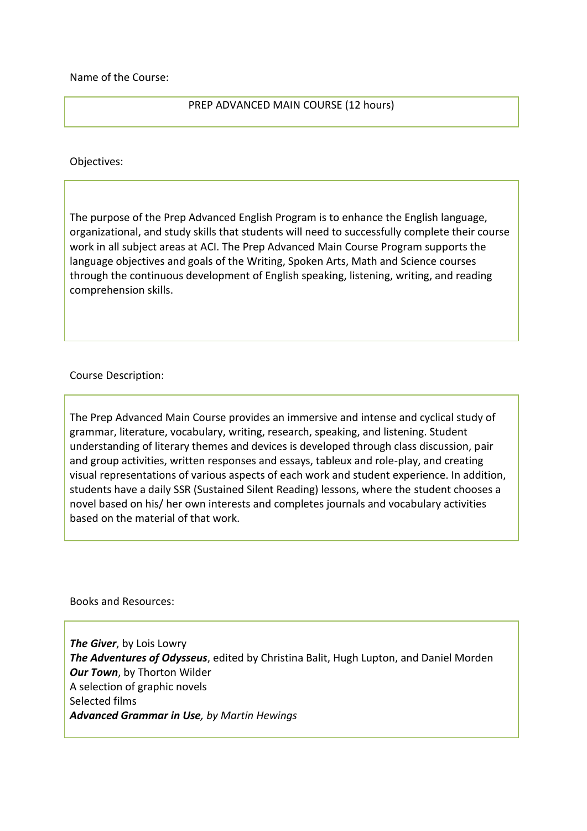Name of the Course:

## PREP ADVANCED MAIN COURSE (12 hours)

Objectives:

The purpose of the Prep Advanced English Program is to enhance the English language, organizational, and study skills that students will need to successfully complete their course work in all subject areas at ACI. The Prep Advanced Main Course Program supports the language objectives and goals of the Writing, Spoken Arts, Math and Science courses through the continuous development of English speaking, listening, writing, and reading comprehension skills.

## Course Description:

The Prep Advanced Main Course provides an immersive and intense and cyclical study of grammar, literature, vocabulary, writing, research, speaking, and listening. Student understanding of literary themes and devices is developed through class discussion, pair and group activities, written responses and essays, tableux and role-play, and creating visual representations of various aspects of each work and student experience. In addition, students have a daily SSR (Sustained Silent Reading) lessons, where the student chooses a novel based on his/ her own interests and completes journals and vocabulary activities based on the material of that work.

Books and Resources:

*The Giver*, by Lois Lowry *The Adventures of Odysseus*, edited by Christina Balit, Hugh Lupton, and Daniel Morden *Our Town*, by Thorton Wilder A selection of graphic novels Selected films *Advanced Grammar in Use, by Martin Hewings*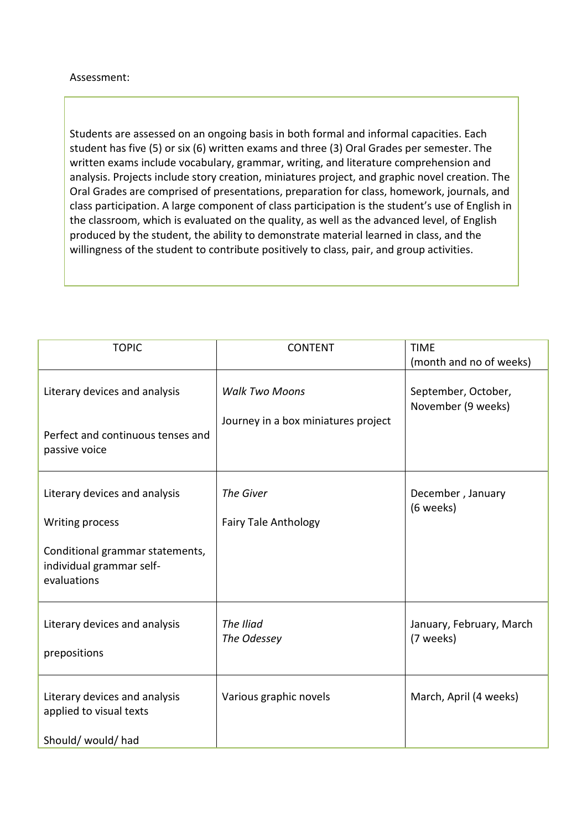## Assessment:

Students are assessed on an ongoing basis in both formal and informal capacities. Each student has five (5) or six (6) written exams and three (3) Oral Grades per semester. The written exams include vocabulary, grammar, writing, and literature comprehension and analysis. Projects include story creation, miniatures project, and graphic novel creation. The Oral Grades are comprised of presentations, preparation for class, homework, journals, and class participation. A large component of class participation is the student's use of English in the classroom, which is evaluated on the quality, as well as the advanced level, of English produced by the student, the ability to demonstrate material learned in class, and the willingness of the student to contribute positively to class, pair, and group activities.

| <b>TOPIC</b>                                                               | <b>CONTENT</b>                                               | <b>TIME</b><br>(month and no of weeks)    |
|----------------------------------------------------------------------------|--------------------------------------------------------------|-------------------------------------------|
| Literary devices and analysis                                              | <b>Walk Two Moons</b><br>Journey in a box miniatures project | September, October,<br>November (9 weeks) |
| Perfect and continuous tenses and<br>passive voice                         |                                                              |                                           |
| Literary devices and analysis                                              | The Giver                                                    | December, January<br>(6 weeks)            |
| Writing process                                                            | <b>Fairy Tale Anthology</b>                                  |                                           |
| Conditional grammar statements,<br>individual grammar self-<br>evaluations |                                                              |                                           |
| Literary devices and analysis<br>prepositions                              | The Iliad<br>The Odessey                                     | January, February, March<br>(7 weeks)     |
| Literary devices and analysis<br>applied to visual texts                   | Various graphic novels                                       | March, April (4 weeks)                    |
| Should/ would/ had                                                         |                                                              |                                           |